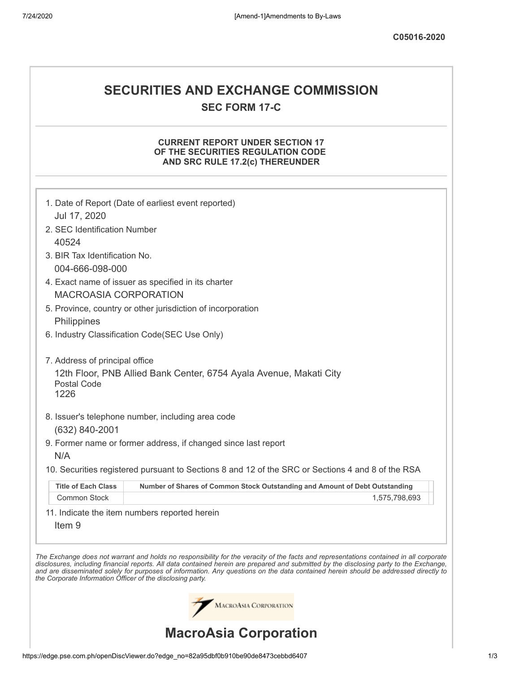# **SECURITIES AND EXCHANGE COMMISSION SEC FORM 17-C**

# **CURRENT REPORT UNDER SECTION 17 OF THE SECURITIES REGULATION CODE AND SRC RULE 17.2(c) THEREUNDER**

|                                                            | MACROASIA CORPORATION<br><b>MacroAsia Corporation</b>                                             |                                                                                                                                                                                                                                                                                                                                                                                                                          |
|------------------------------------------------------------|---------------------------------------------------------------------------------------------------|--------------------------------------------------------------------------------------------------------------------------------------------------------------------------------------------------------------------------------------------------------------------------------------------------------------------------------------------------------------------------------------------------------------------------|
| the Corporate Information Officer of the disclosing party. |                                                                                                   | The Exchange does not warrant and holds no responsibility for the veracity of the facts and representations contained in all corporate<br>disclosures, including financial reports. All data contained herein are prepared and submitted by the disclosing party to the Exchange,<br>and are disseminated solely for purposes of information. Any questions on the data contained herein should be addressed directly to |
| Item <sub>9</sub>                                          | 11. Indicate the item numbers reported herein                                                     |                                                                                                                                                                                                                                                                                                                                                                                                                          |
| Common Stock                                               |                                                                                                   | 1,575,798,693                                                                                                                                                                                                                                                                                                                                                                                                            |
| <b>Title of Each Class</b>                                 | Number of Shares of Common Stock Outstanding and Amount of Debt Outstanding                       |                                                                                                                                                                                                                                                                                                                                                                                                                          |
|                                                            | 10. Securities registered pursuant to Sections 8 and 12 of the SRC or Sections 4 and 8 of the RSA |                                                                                                                                                                                                                                                                                                                                                                                                                          |
| N/A                                                        | 9. Former name or former address, if changed since last report                                    |                                                                                                                                                                                                                                                                                                                                                                                                                          |
| $(632)$ 840-2001                                           |                                                                                                   |                                                                                                                                                                                                                                                                                                                                                                                                                          |
|                                                            | 8. Issuer's telephone number, including area code                                                 |                                                                                                                                                                                                                                                                                                                                                                                                                          |
| Postal Code<br>1226                                        | 12th Floor, PNB Allied Bank Center, 6754 Ayala Avenue, Makati City                                |                                                                                                                                                                                                                                                                                                                                                                                                                          |
| 7. Address of principal office                             |                                                                                                   |                                                                                                                                                                                                                                                                                                                                                                                                                          |
|                                                            | 6. Industry Classification Code(SEC Use Only)                                                     |                                                                                                                                                                                                                                                                                                                                                                                                                          |
| Philippines                                                |                                                                                                   |                                                                                                                                                                                                                                                                                                                                                                                                                          |
| <b>MACROASIA CORPORATION</b>                               | 5. Province, country or other jurisdiction of incorporation                                       |                                                                                                                                                                                                                                                                                                                                                                                                                          |
|                                                            | 4. Exact name of issuer as specified in its charter                                               |                                                                                                                                                                                                                                                                                                                                                                                                                          |
| 004-666-098-000                                            |                                                                                                   |                                                                                                                                                                                                                                                                                                                                                                                                                          |
| 3. BIR Tax Identification No.                              |                                                                                                   |                                                                                                                                                                                                                                                                                                                                                                                                                          |
| 2. SEC Identification Number<br>40524                      |                                                                                                   |                                                                                                                                                                                                                                                                                                                                                                                                                          |
| Jul 17, 2020                                               |                                                                                                   |                                                                                                                                                                                                                                                                                                                                                                                                                          |
|                                                            | 1. Date of Report (Date of earliest event reported)                                               |                                                                                                                                                                                                                                                                                                                                                                                                                          |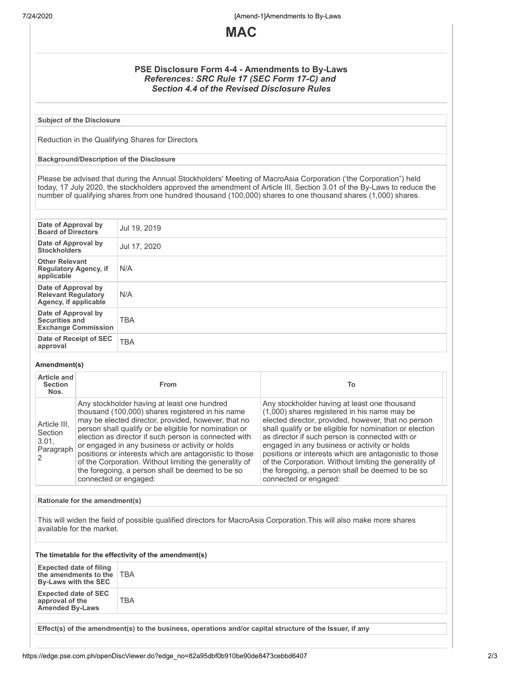7/24/2020 [Amend-1]Amendments to By-Laws



# **PSE Disclosure Form 4-4 - Amendments to By-Laws** *References: SRC Rule 17 (SEC Form 17-C) and Section 4.4 of the Revised Disclosure Rules*

### **Subject of the Disclosure**

Reduction in the Qualifying Shares for Directors

#### **Background/Description of the Disclosure**

Please be advised that during the Annual Stockholders' Meeting of MacroAsia Corporation ('the Corporation") held today, 17 July 2020, the stockholders approved the amendment of Article III, Section 3.01 of the By-Laws to reduce the number of qualifying shares from one hundred thousand (100,000) shares to one thousand shares (1,000) shares.

| Date of Approval by<br><b>Board of Directors</b>                           | Jul 19, 2019 |
|----------------------------------------------------------------------------|--------------|
| Date of Approval by<br><b>Stockholders</b>                                 | Jul 17, 2020 |
| <b>Other Relevant</b><br><b>Regulatory Agency, if</b><br>applicable        | N/A          |
| Date of Approval by<br><b>Relevant Regulatory</b><br>Agency, if applicable | N/A          |
| Date of Approval by<br><b>Securities and</b><br><b>Exchange Commission</b> | <b>TBA</b>   |
| Date of Receipt of SEC<br>approval                                         | <b>TBA</b>   |

## **Amendment(s)**

| Article and<br><b>Section</b><br>Nos.         | <b>From</b>                                                                                                                                                                                                                                                                                                                                                                                                                                                                                                                  | Т٥                                                                                                                                                                                                                                                                                                                                                                                                                                                                                                                 |
|-----------------------------------------------|------------------------------------------------------------------------------------------------------------------------------------------------------------------------------------------------------------------------------------------------------------------------------------------------------------------------------------------------------------------------------------------------------------------------------------------------------------------------------------------------------------------------------|--------------------------------------------------------------------------------------------------------------------------------------------------------------------------------------------------------------------------------------------------------------------------------------------------------------------------------------------------------------------------------------------------------------------------------------------------------------------------------------------------------------------|
| Article III.<br>Section<br>3.01.<br>Paragraph | Any stockholder having at least one hundred<br>thousand (100,000) shares registered in his name<br>may be elected director, provided, however, that no<br>person shall qualify or be eligible for nomination or<br>election as director if such person is connected with<br>or engaged in any business or activity or holds<br>positions or interests which are antagonistic to those<br>of the Corporation. Without limiting the generality of<br>the foregoing, a person shall be deemed to be so<br>connected or engaged: | Any stockholder having at least one thousand<br>(1,000) shares registered in his name may be<br>elected director, provided, however, that no person<br>shall qualify or be eligible for nomination or election<br>as director if such person is connected with or<br>engaged in any business or activity or holds<br>positions or interests which are antagonistic to those<br>of the Corporation. Without limiting the generality of<br>the foregoing, a person shall be deemed to be so<br>connected or engaged: |

#### **Rationale for the amendment(s)**

This will widen the field of possible qualified directors for MacroAsia Corporation.This will also make more shares available for the market.

## **The timetable for the effectivity of the amendment(s)**

| <b>Expected date of filing</b><br>the amendments to the TBA<br>By-Laws with the SEC |     |
|-------------------------------------------------------------------------------------|-----|
| <b>Expected date of SEC</b><br>approval of the<br><b>Amended By-Laws</b>            | TBA |

**Effect(s) of the amendment(s) to the business, operations and/or capital structure of the Issuer, if any**